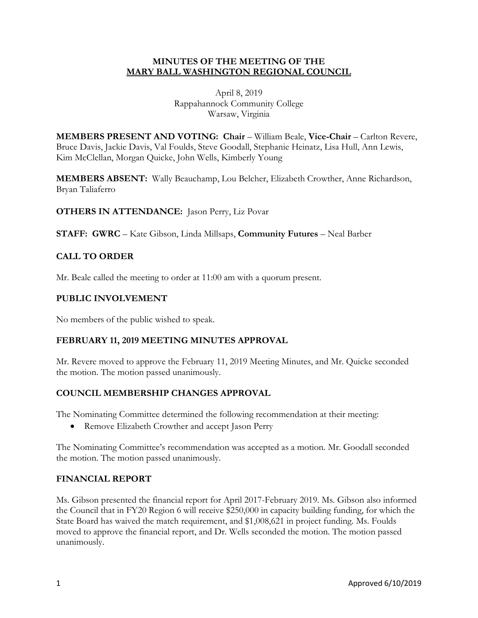#### **MINUTES OF THE MEETING OF THE MARY BALL WASHINGTON REGIONAL COUNCIL**

April 8, 2019 Rappahannock Community College Warsaw, Virginia

**MEMBERS PRESENT AND VOTING: Chair** – William Beale, **Vice-Chair** – Carlton Revere, Bruce Davis, Jackie Davis, Val Foulds, Steve Goodall, Stephanie Heinatz, Lisa Hull, Ann Lewis, Kim McClellan, Morgan Quicke, John Wells, Kimberly Young

**MEMBERS ABSENT:** Wally Beauchamp, Lou Belcher, Elizabeth Crowther, Anne Richardson, Bryan Taliaferro

**OTHERS IN ATTENDANCE:** Jason Perry, Liz Povar

**STAFF: GWRC** – Kate Gibson, Linda Millsaps, **Community Futures** – Neal Barber

# **CALL TO ORDER**

Mr. Beale called the meeting to order at 11:00 am with a quorum present.

### **PUBLIC INVOLVEMENT**

No members of the public wished to speak.

#### **FEBRUARY 11, 2019 MEETING MINUTES APPROVAL**

Mr. Revere moved to approve the February 11, 2019 Meeting Minutes, and Mr. Quicke seconded the motion. The motion passed unanimously.

# **COUNCIL MEMBERSHIP CHANGES APPROVAL**

The Nominating Committee determined the following recommendation at their meeting:

• Remove Elizabeth Crowther and accept Jason Perry

The Nominating Committee's recommendation was accepted as a motion. Mr. Goodall seconded the motion. The motion passed unanimously.

#### **FINANCIAL REPORT**

Ms. Gibson presented the financial report for April 2017-February 2019. Ms. Gibson also informed the Council that in FY20 Region 6 will receive \$250,000 in capacity building funding, for which the State Board has waived the match requirement, and \$1,008,621 in project funding. Ms. Foulds moved to approve the financial report, and Dr. Wells seconded the motion. The motion passed unanimously.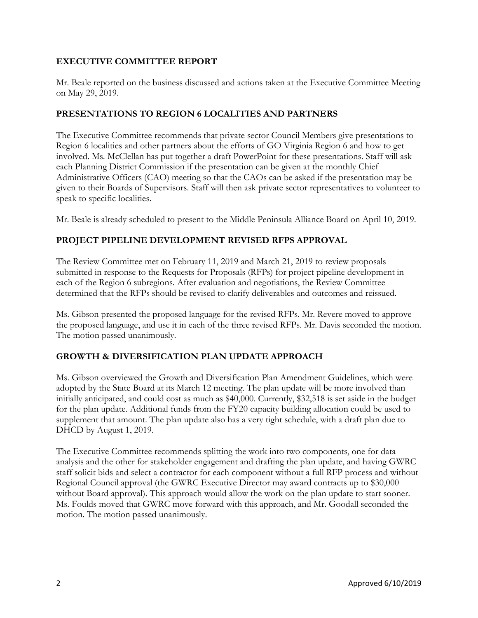### **EXECUTIVE COMMITTEE REPORT**

Mr. Beale reported on the business discussed and actions taken at the Executive Committee Meeting on May 29, 2019.

### **PRESENTATIONS TO REGION 6 LOCALITIES AND PARTNERS**

The Executive Committee recommends that private sector Council Members give presentations to Region 6 localities and other partners about the efforts of GO Virginia Region 6 and how to get involved. Ms. McClellan has put together a draft PowerPoint for these presentations. Staff will ask each Planning District Commission if the presentation can be given at the monthly Chief Administrative Officers (CAO) meeting so that the CAOs can be asked if the presentation may be given to their Boards of Supervisors. Staff will then ask private sector representatives to volunteer to speak to specific localities.

Mr. Beale is already scheduled to present to the Middle Peninsula Alliance Board on April 10, 2019.

# **PROJECT PIPELINE DEVELOPMENT REVISED RFPS APPROVAL**

The Review Committee met on February 11, 2019 and March 21, 2019 to review proposals submitted in response to the Requests for Proposals (RFPs) for project pipeline development in each of the Region 6 subregions. After evaluation and negotiations, the Review Committee determined that the RFPs should be revised to clarify deliverables and outcomes and reissued.

Ms. Gibson presented the proposed language for the revised RFPs. Mr. Revere moved to approve the proposed language, and use it in each of the three revised RFPs. Mr. Davis seconded the motion. The motion passed unanimously.

# **GROWTH & DIVERSIFICATION PLAN UPDATE APPROACH**

Ms. Gibson overviewed the Growth and Diversification Plan Amendment Guidelines, which were adopted by the State Board at its March 12 meeting. The plan update will be more involved than initially anticipated, and could cost as much as \$40,000. Currently, \$32,518 is set aside in the budget for the plan update. Additional funds from the FY20 capacity building allocation could be used to supplement that amount. The plan update also has a very tight schedule, with a draft plan due to DHCD by August 1, 2019.

The Executive Committee recommends splitting the work into two components, one for data analysis and the other for stakeholder engagement and drafting the plan update, and having GWRC staff solicit bids and select a contractor for each component without a full RFP process and without Regional Council approval (the GWRC Executive Director may award contracts up to \$30,000 without Board approval). This approach would allow the work on the plan update to start sooner. Ms. Foulds moved that GWRC move forward with this approach, and Mr. Goodall seconded the motion. The motion passed unanimously.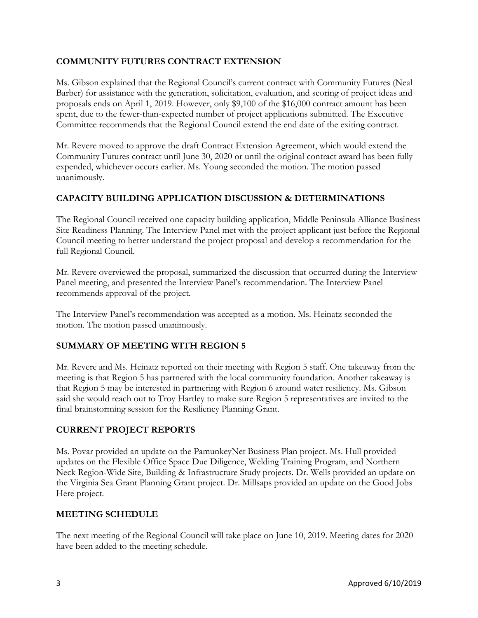### **COMMUNITY FUTURES CONTRACT EXTENSION**

Ms. Gibson explained that the Regional Council's current contract with Community Futures (Neal Barber) for assistance with the generation, solicitation, evaluation, and scoring of project ideas and proposals ends on April 1, 2019. However, only \$9,100 of the \$16,000 contract amount has been spent, due to the fewer-than-expected number of project applications submitted. The Executive Committee recommends that the Regional Council extend the end date of the exiting contract.

Mr. Revere moved to approve the draft Contract Extension Agreement, which would extend the Community Futures contract until June 30, 2020 or until the original contract award has been fully expended, whichever occurs earlier. Ms. Young seconded the motion. The motion passed unanimously.

### **CAPACITY BUILDING APPLICATION DISCUSSION & DETERMINATIONS**

The Regional Council received one capacity building application, Middle Peninsula Alliance Business Site Readiness Planning. The Interview Panel met with the project applicant just before the Regional Council meeting to better understand the project proposal and develop a recommendation for the full Regional Council.

Mr. Revere overviewed the proposal, summarized the discussion that occurred during the Interview Panel meeting, and presented the Interview Panel's recommendation. The Interview Panel recommends approval of the project.

The Interview Panel's recommendation was accepted as a motion. Ms. Heinatz seconded the motion. The motion passed unanimously.

# **SUMMARY OF MEETING WITH REGION 5**

Mr. Revere and Ms. Heinatz reported on their meeting with Region 5 staff. One takeaway from the meeting is that Region 5 has partnered with the local community foundation. Another takeaway is that Region 5 may be interested in partnering with Region 6 around water resiliency. Ms. Gibson said she would reach out to Troy Hartley to make sure Region 5 representatives are invited to the final brainstorming session for the Resiliency Planning Grant.

#### **CURRENT PROJECT REPORTS**

Ms. Povar provided an update on the PamunkeyNet Business Plan project. Ms. Hull provided updates on the Flexible Office Space Due Diligence, Welding Training Program, and Northern Neck Region-Wide Site, Building & Infrastructure Study projects. Dr. Wells provided an update on the Virginia Sea Grant Planning Grant project. Dr. Millsaps provided an update on the Good Jobs Here project.

#### **MEETING SCHEDULE**

The next meeting of the Regional Council will take place on June 10, 2019. Meeting dates for 2020 have been added to the meeting schedule.